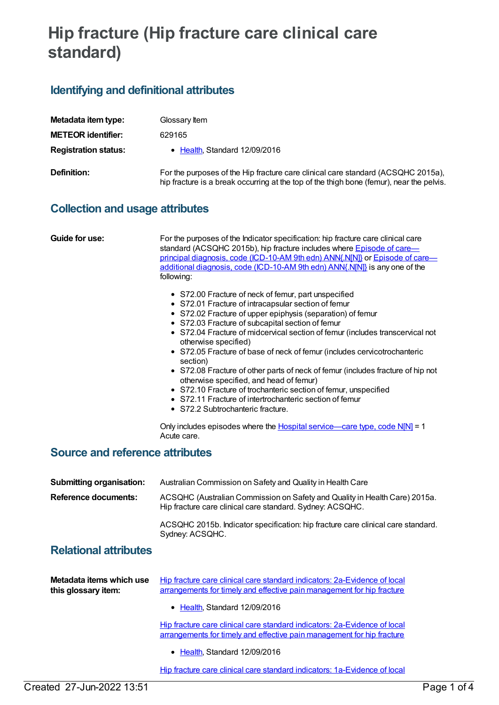# **Hip fracture (Hip fracture care clinical care standard)**

# **Identifying and definitional attributes**

| Metadata item type:         | Glossary Item                                                                                                                                                                |
|-----------------------------|------------------------------------------------------------------------------------------------------------------------------------------------------------------------------|
| <b>METEOR identifier:</b>   | 629165                                                                                                                                                                       |
| <b>Registration status:</b> | • Health, Standard 12/09/2016                                                                                                                                                |
| Definition:                 | For the purposes of the Hip fracture care clinical care standard (ACSQHC 2015a),<br>hip fracture is a break occurring at the top of the thigh bone (femur), near the pelvis. |

### **Collection and usage attributes**

**Guide for use:** For the purposes of the Indicator specification: hip fracture care clinical care standard [\(ACSQHC](file:///content/588987) 2015b), hip fracture includes where **Episode of care—** principal diagnosis, code [\(ICD-10-AM](file:///content/588981) 9th edn) ANN{.N[N]} or Episode of care additional diagnosis, code (ICD-10-AM 9th edn) ANN{.N[N]} is any one of the following:

- S72.00 Fracture of neck of femur, part unspecified
- S72.01 Fracture of intracapsular section of femur
- S72.02 Fracture of upper epiphysis (separation) of femur
- S72.03 Fracture of subcapital section of femur
- S72.04 Fracture of midcervical section of femur (includes transcervical not otherwise specified)
- S72.05 Fracture of base of neck of femur (includes cervicotrochanteric section)
- S72.08 Fracture of other parts of neck of femur (includes fracture of hip not otherwise specified, and head of femur)
- S72.10 Fracture of trochanteric section of femur, unspecified
- S72.11 Fracture of intertrochanteric section of femur
- S72.2 Subtrochanteric fracture.

Only includes episodes where the Hospital [service—care](file:///content/584408) type, code N[N] = 1 Acute care.

### **Source and reference attributes**

| <b>Submitting organisation:</b> | Australian Commission on Safety and Quality in Health Care                                                                              |
|---------------------------------|-----------------------------------------------------------------------------------------------------------------------------------------|
| <b>Reference documents:</b>     | ACSQHC (Australian Commission on Safety and Quality in Health Care) 2015a.<br>Hip fracture care clinical care standard. Sydney: ACSQHC. |
|                                 | ACSQHC 2015b. Indicator specification: hip fracture care clinical care standard.<br>Sydney: ACSQHC.                                     |

## **Relational attributes**

| Metadata items which use | Hip fracture care clinical care standard indicators: 2a-Evidence of local |
|--------------------------|---------------------------------------------------------------------------|
| this glossary item:      | arrangements for timely and effective pain management for hip fracture    |

• [Health](https://meteor.aihw.gov.au/RegistrationAuthority/12), Standard 12/09/2016

Hip fracture care clinical care standard indicators: [2a-Evidence](https://meteor.aihw.gov.au/content/696430) of local arrangements for timely and effective pain management for hip fracture

• [Health](https://meteor.aihw.gov.au/RegistrationAuthority/12), Standard 12/09/2016

Hip fracture care clinical care standard indicators: 1a-Evidence of local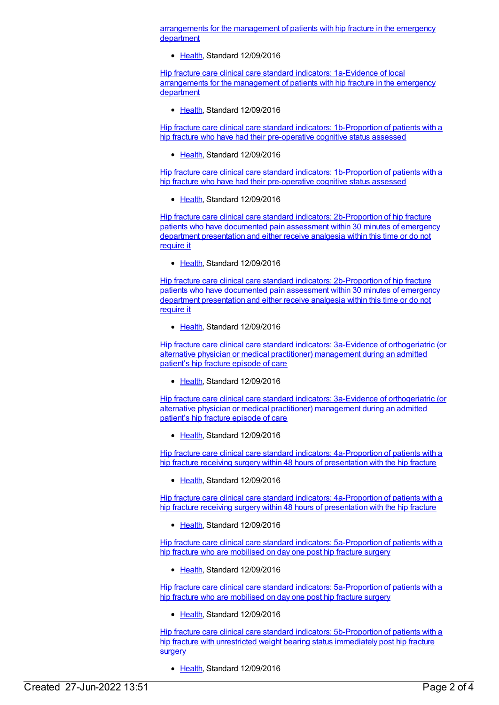[arrangements](https://meteor.aihw.gov.au/content/628064) for the management of patients with hip fracture in the emergency department

• [Health](https://meteor.aihw.gov.au/RegistrationAuthority/12), Standard 12/09/2016

Hip fracture care clinical care standard indicators: 1a-Evidence of local [arrangements](https://meteor.aihw.gov.au/content/696426) for the management of patients with hip fracture in the emergency department

[Health](https://meteor.aihw.gov.au/RegistrationAuthority/12), Standard 12/09/2016

Hip fracture care clinical care standard indicators: [1b-Proportion](https://meteor.aihw.gov.au/content/696428) of patients with a hip fracture who have had their pre-operative cognitive status assessed

[Health](https://meteor.aihw.gov.au/RegistrationAuthority/12), Standard 12/09/2016

Hip fracture care clinical care standard indicators: [1b-Proportion](https://meteor.aihw.gov.au/content/628067) of patients with a hip fracture who have had their pre-operative cognitive status assessed

• [Health](https://meteor.aihw.gov.au/RegistrationAuthority/12), Standard 12/09/2016

Hip fracture care clinical care standard indicators: [2b-Proportion](https://meteor.aihw.gov.au/content/696432) of hip fracture patients who have documented pain assessment within 30 minutes of emergency department presentation and either receive analgesia within this time or do not require it

• [Health](https://meteor.aihw.gov.au/RegistrationAuthority/12), Standard 12/09/2016

Hip fracture care clinical care standard indicators: [2b-Proportion](https://meteor.aihw.gov.au/content/628070) of hip fracture patients who have documented pain assessment within 30 minutes of emergency department presentation and either receive analgesia within this time or do not require it

[Health](https://meteor.aihw.gov.au/RegistrationAuthority/12), Standard 12/09/2016

Hip fracture care clinical care standard indicators: 3a-Evidence of [orthogeriatric](https://meteor.aihw.gov.au/content/628084) (or alternative physician or medical practitioner) management during an admitted patient's hip fracture episode of care

[Health](https://meteor.aihw.gov.au/RegistrationAuthority/12), Standard 12/09/2016

Hip fracture care clinical care standard indicators: 3a-Evidence of [orthogeriatric](https://meteor.aihw.gov.au/content/696434) (or alternative physician or medical practitioner) management during an admitted patient's hip fracture episode of care

[Health](https://meteor.aihw.gov.au/RegistrationAuthority/12), Standard 12/09/2016

Hip fracture care clinical care standard indicators: [4a-Proportion](https://meteor.aihw.gov.au/content/696436) of patients with a hip fracture receiving surgery within 48 hours of presentation with the hip fracture

• [Health](https://meteor.aihw.gov.au/RegistrationAuthority/12), Standard 12/09/2016

Hip fracture care clinical care standard indicators: [4a-Proportion](https://meteor.aihw.gov.au/content/628088) of patients with a hip fracture receiving surgery within 48 hours of presentation with the hip fracture

• [Health](https://meteor.aihw.gov.au/RegistrationAuthority/12), Standard 12/09/2016

Hip fracture care clinical care standard indicators: [5a-Proportion](https://meteor.aihw.gov.au/content/696438) of patients with a hip fracture who are mobilised on day one post hip fracture surgery

[Health](https://meteor.aihw.gov.au/RegistrationAuthority/12), Standard 12/09/2016

Hip fracture care clinical care standard indicators: [5a-Proportion](https://meteor.aihw.gov.au/content/628092) of patients with a hip fracture who are mobilised on day one post hip fracture surgery

• [Health](https://meteor.aihw.gov.au/RegistrationAuthority/12), Standard 12/09/2016

Hip fracture care clinical care standard indicators: [5b-Proportion](https://meteor.aihw.gov.au/content/696440) of patients with a hip fracture with unrestricted weight bearing status immediately post hip fracture **surgery** 

• [Health](https://meteor.aihw.gov.au/RegistrationAuthority/12), Standard 12/09/2016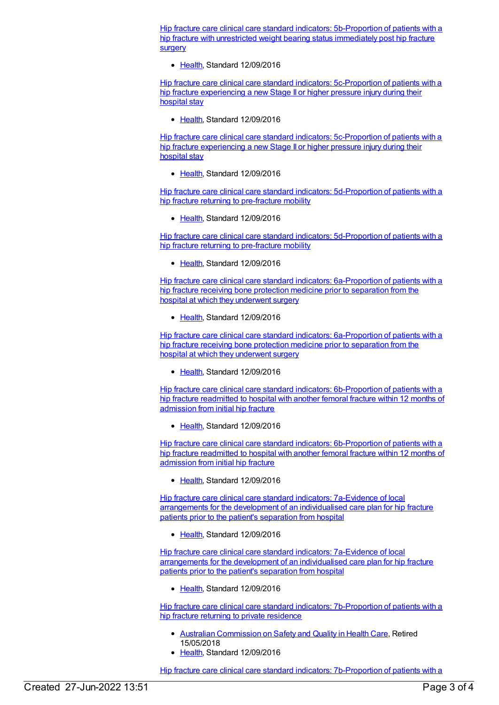Hip fracture care clinical care standard indicators: [5b-Proportion](https://meteor.aihw.gov.au/content/628094) of patients with a hip fracture with unrestricted weight bearing status immediately post hip fracture surgery

Ealth, Standard 12/09/2016

Hip fracture care clinical care standard indicators: [5c-Proportion](https://meteor.aihw.gov.au/content/696442) of patients with a hip fracture experiencing a new Stage II or higher pressure injury during their hospital stay

[Health](https://meteor.aihw.gov.au/RegistrationAuthority/12), Standard 12/09/2016

Hip fracture care clinical care standard indicators: [5c-Proportion](https://meteor.aihw.gov.au/content/628233) of patients with a hip fracture experiencing a new Stage II or higher pressure injury during their hospital stay

[Health](https://meteor.aihw.gov.au/RegistrationAuthority/12), Standard 12/09/2016

Hip fracture care clinical care standard indicators: [5d-Proportion](https://meteor.aihw.gov.au/content/696444) of patients with a hip fracture returning to pre-fracture mobility

• [Health](https://meteor.aihw.gov.au/RegistrationAuthority/12), Standard 12/09/2016

Hip fracture care clinical care standard indicators: [5d-Proportion](https://meteor.aihw.gov.au/content/628241) of patients with a hip fracture returning to pre-fracture mobility

• [Health](https://meteor.aihw.gov.au/RegistrationAuthority/12), Standard 12/09/2016

Hip fracture care clinical care standard indicators: [6a-Proportion](https://meteor.aihw.gov.au/content/696446) of patients with a hip fracture receiving bone protection medicine prior to separation from the hospital at which they underwent surgery

• [Health](https://meteor.aihw.gov.au/RegistrationAuthority/12), Standard 12/09/2016

Hip fracture care clinical care standard indicators: [6a-Proportion](https://meteor.aihw.gov.au/content/628253) of patients with a hip fracture receiving bone protection medicine prior to separation from the hospital at which they underwent surgery

[Health](https://meteor.aihw.gov.au/RegistrationAuthority/12), Standard 12/09/2016

Hip fracture care clinical care standard indicators: [6b-Proportion](https://meteor.aihw.gov.au/content/628256) of patients with a hip fracture readmitted to hospital with another femoral fracture within 12 months of admission from initial hip fracture

• [Health](https://meteor.aihw.gov.au/RegistrationAuthority/12), Standard 12/09/2016

Hip fracture care clinical care standard indicators: [6b-Proportion](https://meteor.aihw.gov.au/content/696448) of patients with a hip fracture readmitted to hospital with another femoral fracture within 12 months of admission from initial hip fracture

• [Health](https://meteor.aihw.gov.au/RegistrationAuthority/12), Standard 12/09/2016

Hip fracture care clinical care standard indicators: 7a-Evidence of local [arrangements](https://meteor.aihw.gov.au/content/628275) for the development of an individualised care plan for hip fracture patients prior to the patient's separation from hospital

[Health](https://meteor.aihw.gov.au/RegistrationAuthority/12), Standard 12/09/2016

Hip fracture care clinical care standard indicators: 7a-Evidence of local [arrangements](https://meteor.aihw.gov.au/content/696450) for the development of an individualised care plan for hip fracture patients prior to the patient's separation from hospital

• [Health](https://meteor.aihw.gov.au/RegistrationAuthority/12), Standard 12/09/2016

Hip fracture care clinical care standard indicators: [7b-Proportion](https://meteor.aihw.gov.au/content/628282) of patients with a hip fracture returning to private residence

- Australian [Commission](https://meteor.aihw.gov.au/RegistrationAuthority/18) on Safety and Quality in Health Care, Retired 15/05/2018
- [Health](https://meteor.aihw.gov.au/RegistrationAuthority/12), Standard 12/09/2016

Hip fracture care clinical care standard indicators: [7b-Proportion](https://meteor.aihw.gov.au/content/696393) of patients with a